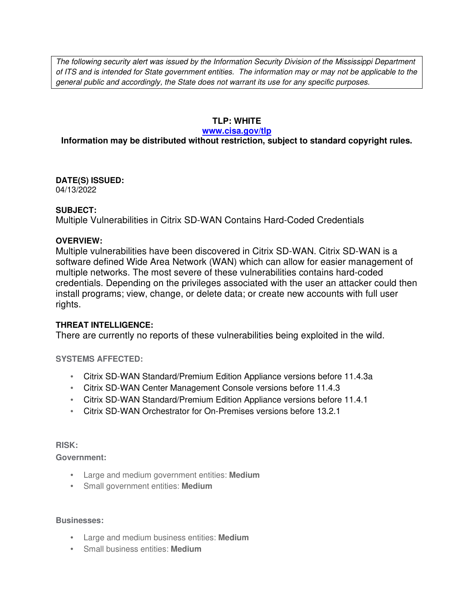The following security alert was issued by the Information Security Division of the Mississippi Department of ITS and is intended for State government entities. The information may or may not be applicable to the general public and accordingly, the State does not warrant its use for any specific purposes.

# **TLP: WHITE**

#### **www.cisa.gov/tlp**

# **Information may be distributed without restriction, subject to standard copyright rules.**

**DATE(S) ISSUED:** 04/13/2022

### **SUBJECT:**

Multiple Vulnerabilities in Citrix SD-WAN Contains Hard-Coded Credentials

### **OVERVIEW:**

Multiple vulnerabilities have been discovered in Citrix SD-WAN. Citrix SD-WAN is a software defined Wide Area Network (WAN) which can allow for easier management of multiple networks. The most severe of these vulnerabilities contains hard-coded credentials. Depending on the privileges associated with the user an attacker could then install programs; view, change, or delete data; or create new accounts with full user rights.

# **THREAT INTELLIGENCE:**

There are currently no reports of these vulnerabilities being exploited in the wild.

# **SYSTEMS AFFECTED:**

- Citrix SD-WAN Standard/Premium Edition Appliance versions before 11.4.3a
- Citrix SD-WAN Center Management Console versions before 11.4.3
- Citrix SD-WAN Standard/Premium Edition Appliance versions before 11.4.1
- Citrix SD-WAN Orchestrator for On-Premises versions before 13.2.1

#### **RISK:**

**Government:**

- Large and medium government entities: **Medium**
- Small government entities: **Medium**

### **Businesses:**

- Large and medium business entities: **Medium**
- Small business entities: **Medium**